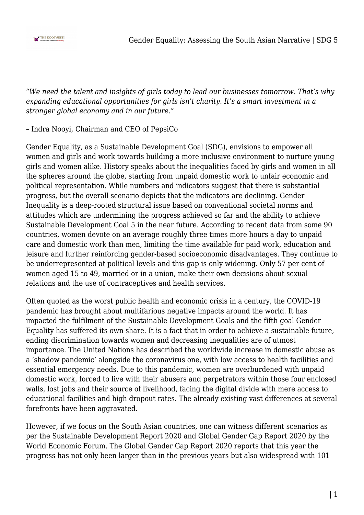

*"We need the talent and insights of girls today to lead our businesses tomorrow. That's why expanding educational opportunities for girls isn't charity. It's a smart investment in a stronger global economy and in our future."*

#### – Indra Nooyi, Chairman and CEO of PepsiCo

Gender Equality, as a Sustainable Development Goal (SDG), envisions to empower all women and girls and work towards building a more inclusive environment to nurture young girls and women alike. History speaks about the inequalities faced by girls and women in all the spheres around the globe, starting from unpaid domestic work to unfair economic and political representation. While numbers and indicators suggest that there is substantial progress, but the overall scenario depicts that the indicators are declining. Gender Inequality is a deep-rooted structural issue based on conventional societal norms and attitudes which are undermining the progress achieved so far and the ability to achieve Sustainable Development Goal 5 in the near future. According to recent data from some 90 countries, women devote on an average roughly three times more hours a day to unpaid care and domestic work than men, limiting the time available for paid work, education and leisure and further reinforcing gender-based socioeconomic disadvantages. They continue to be underrepresented at political levels and this gap is only widening. Only 57 per cent of women aged 15 to 49, married or in a union, make their own decisions about sexual relations and the use of contraceptives and health services.

Often quoted as the worst public health and economic crisis in a century, the COVID-19 pandemic has brought about multifarious negative impacts around the world. It has impacted the fulfilment of the Sustainable Development Goals and the fifth goal Gender Equality has suffered its own share. It is a fact that in order to achieve a sustainable future, ending discrimination towards women and decreasing inequalities are of utmost importance. The United Nations has described the worldwide increase in domestic abuse as a 'shadow pandemic' alongside the coronavirus one, with low access to health facilities and essential emergency needs. Due to this pandemic, women are overburdened with unpaid domestic work, forced to live with their abusers and perpetrators within those four enclosed walls, lost jobs and their source of livelihood, facing the digital divide with mere access to educational facilities and high dropout rates. The already existing vast differences at several forefronts have been aggravated.

However, if we focus on the South Asian countries, one can witness different scenarios as per the Sustainable Development Report 2020 and Global Gender Gap Report 2020 by the World Economic Forum. The Global Gender Gap Report 2020 reports that this year the progress has not only been larger than in the previous years but also widespread with 101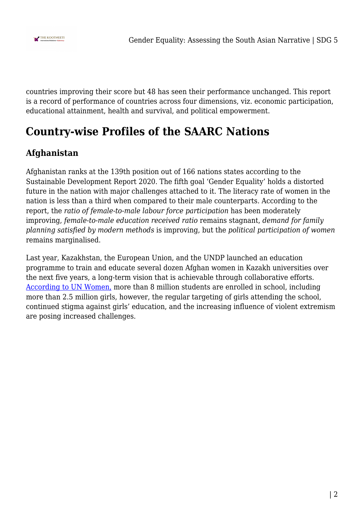

countries improving their score but 48 has seen their performance unchanged. This report is a record of performance of countries across four dimensions, viz. economic participation, educational attainment, health and survival, and political empowerment.

# **Country-wise Profiles of the SAARC Nations**

# **Afghanistan**

Afghanistan ranks at the 139th position out of 166 nations states according to the Sustainable Development Report 2020. The fifth goal 'Gender Equality' holds a distorted future in the nation with major challenges attached to it. The literacy rate of women in the nation is less than a third when compared to their male counterparts. According to the report, the *ratio of female-to-male labour force participation* has been moderately improving, *female-to-male education received ratio* remains stagnant, *demand for family planning satisfied by modern methods* is improving, but the *political participation of women* remains marginalised.

Last year, Kazakhstan, the European Union, and the UNDP launched an education programme to train and educate several dozen Afghan women in Kazakh universities over the next five years, a long-term vision that is achievable through collaborative efforts. [According to UN Women,](https://asiapacific.unwomen.org/en/countries/afghanistan) more than 8 million students are enrolled in school, including more than 2.5 million girls, however, the regular targeting of girls attending the school, continued stigma against girls' education, and the increasing influence of violent extremism are posing increased challenges.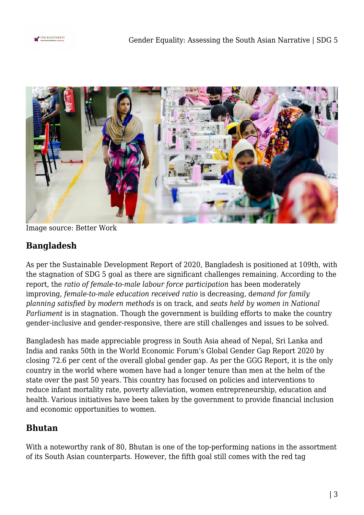



Image source: Better Work

# **Bangladesh**

As per the Sustainable Development Report of 2020, Bangladesh is positioned at 109th, with the stagnation of SDG 5 goal as there are significant challenges remaining. According to the report, the *ratio of female-to-male labour force participation* has been moderately improving, *female-to-male education received ratio* is decreasing, d*emand for family planning satisfied by modern methods* is on track, and *seats held by women in National Parliament* is in stagnation. Though the government is building efforts to make the country gender-inclusive and gender-responsive, there are still challenges and issues to be solved.

Bangladesh has made appreciable progress in South Asia ahead of Nepal, Sri Lanka and India and ranks 50th in the World Economic Forum's Global Gender Gap Report 2020 by closing 72.6 per cent of the overall global gender gap. As per the GGG Report, it is the only country in the world where women have had a longer tenure than men at the helm of the state over the past 50 years. This country has focused on policies and interventions to reduce infant mortality rate, poverty alleviation, women entrepreneurship, education and health. Various initiatives have been taken by the government to provide financial inclusion and economic opportunities to women.

#### **Bhutan**

With a noteworthy rank of 80, Bhutan is one of the top-performing nations in the assortment of its South Asian counterparts. However, the fifth goal still comes with the red tag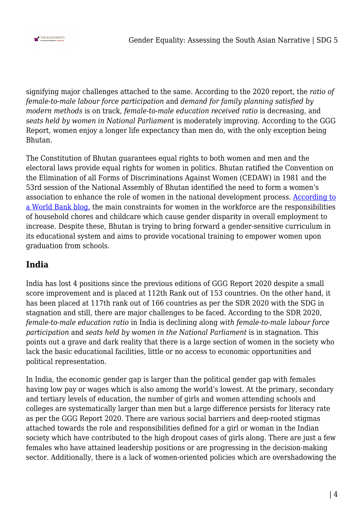

signifying major challenges attached to the same. According to the 2020 report, the *ratio of female-to-male labour force participation* and *demand for family planning satisfied by modern methods* is on track, *female-to-male education received ratio* is decreasing, and *seats held by women in National Parliament* is moderately improving. According to the GGG Report, women enjoy a longer life expectancy than men do, with the only exception being Bhutan.

The Constitution of Bhutan guarantees equal rights to both women and men and the electoral laws provide equal rights for women in politics. Bhutan ratified the Convention on the Elimination of all Forms of Discriminations Against Women (CEDAW) in 1981 and the 53rd session of the National Assembly of Bhutan identified the need to form a women's association to enhance the role of women in the national development process. [According to](https://blogs.worldbank.org/endpovertyinsouthasia/moving-towards-gender-equality-bhutan) [a World Bank blog,](https://blogs.worldbank.org/endpovertyinsouthasia/moving-towards-gender-equality-bhutan) the main constraints for women in the workforce are the responsibilities of household chores and childcare which cause gender disparity in overall employment to increase. Despite these, Bhutan is trying to bring forward a gender-sensitive curriculum in its educational system and aims to provide vocational training to empower women upon graduation from schools.

#### **India**

India has lost 4 positions since the previous editions of GGG Report 2020 despite a small score improvement and is placed at 112th Rank out of 153 countries. On the other hand, it has been placed at 117th rank out of 166 countries as per the SDR 2020 with the SDG in stagnation and still, there are major challenges to be faced. According to the SDR 2020, *female-to-male education ratio* in India is declining along *with female-to-male labour force participation* and *seats held by women in the National Parliament* is in stagnation. This points out a grave and dark reality that there is a large section of women in the society who lack the basic educational facilities, little or no access to economic opportunities and political representation.

In India, the economic gender gap is larger than the political gender gap with females having low pay or wages which is also among the world's lowest. At the primary, secondary and tertiary levels of education, the number of girls and women attending schools and colleges are systematically larger than men but a large difference persists for literacy rate as per the GGG Report 2020. There are various social barriers and deep-rooted stigmas attached towards the role and responsibilities defined for a girl or woman in the Indian society which have contributed to the high dropout cases of girls along. There are just a few females who have attained leadership positions or are progressing in the decision-making sector. Additionally, there is a lack of women-oriented policies which are overshadowing the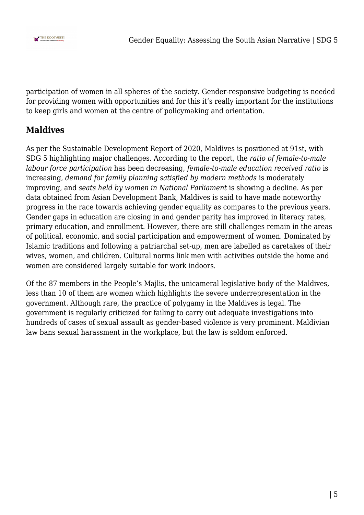

participation of women in all spheres of the society. Gender-responsive budgeting is needed for providing women with opportunities and for this it's really important for the institutions to keep girls and women at the centre of policymaking and orientation.

### **Maldives**

As per the Sustainable Development Report of 2020, Maldives is positioned at 91st, with SDG 5 highlighting major challenges. According to the report, the *ratio of female-to-male labour force participation* has been decreasing, *female-to-male education received ratio* is increasing, *demand for family planning satisfied by modern methods* is moderately improving, and *seats held by women in National Parliament* is showing a decline. As per data obtained from Asian Development Bank, Maldives is said to have made noteworthy progress in the race towards achieving gender equality as compares to the previous years. Gender gaps in education are closing in and gender parity has improved in literacy rates, primary education, and enrollment. However, there are still challenges remain in the areas of political, economic, and social participation and empowerment of women. Dominated by Islamic traditions and following a patriarchal set-up, men are labelled as caretakes of their wives, women, and children. Cultural norms link men with activities outside the home and women are considered largely suitable for work indoors.

Of the 87 members in the People's Majlis, the unicameral legislative body of the Maldives, less than 10 of them are women which highlights the severe underrepresentation in the government. Although rare, the practice of polygamy in the Maldives is legal. The government is regularly criticized for failing to carry out adequate investigations into hundreds of cases of sexual assault as gender-based violence is very prominent. Maldivian law bans sexual harassment in the workplace, but the law is seldom enforced.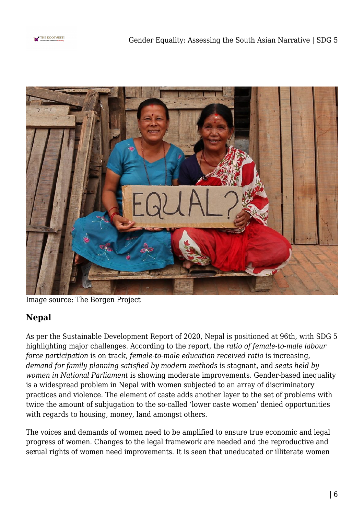



Image source: The Borgen Project

# **Nepal**

As per the Sustainable Development Report of 2020, Nepal is positioned at 96th, with SDG 5 highlighting major challenges. According to the report, the *ratio of female-to-male labour force participation* is on track, *female-to-male education received ratio* is increasing, *demand for family planning satisfied by modern methods* is stagnant, and *seats held by women in National Parliament* is showing moderate improvements. Gender-based inequality is a widespread problem in Nepal with women subjected to an array of discriminatory practices and violence. The element of caste adds another layer to the set of problems with twice the amount of subjugation to the so-called 'lower caste women' denied opportunities with regards to housing, money, land amongst others.

The voices and demands of women need to be amplified to ensure true economic and legal progress of women. Changes to the legal framework are needed and the reproductive and sexual rights of women need improvements. It is seen that uneducated or illiterate women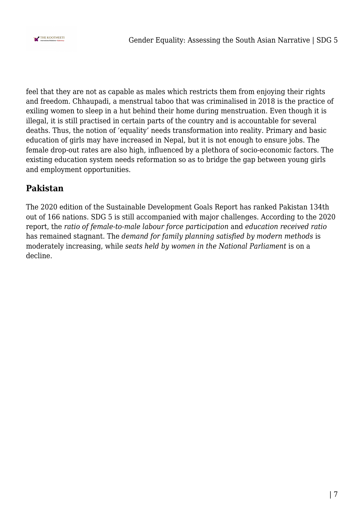

feel that they are not as capable as males which restricts them from enjoying their rights and freedom. Chhaupadi, a menstrual taboo that was criminalised in 2018 is the practice of exiling women to sleep in a hut behind their home during menstruation. Even though it is illegal, it is still practised in certain parts of the country and is accountable for several deaths. Thus, the notion of 'equality' needs transformation into reality. Primary and basic education of girls may have increased in Nepal, but it is not enough to ensure jobs. The female drop-out rates are also high, influenced by a plethora of socio-economic factors. The existing education system needs reformation so as to bridge the gap between young girls and employment opportunities.

#### **Pakistan**

The 2020 edition of the Sustainable Development Goals Report has ranked Pakistan 134th out of 166 nations. SDG 5 is still accompanied with major challenges. According to the 2020 report, the *ratio of female-to-male labour force participation* and *education received ratio* has remained stagnant. The *demand for family planning satisfied by modern methods* is moderately increasing, while *seats held by women in the National Parliament* is on a decline.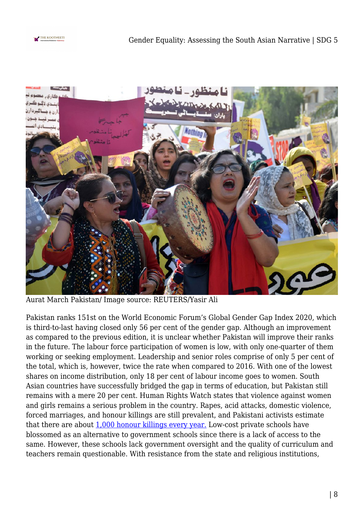



Aurat March Pakistan/ Image source: REUTERS/Yasir Ali

Pakistan ranks 151st on the World Economic Forum's Global Gender Gap Index 2020, which is third-to-last having closed only 56 per cent of the gender gap. Although an improvement as compared to the previous edition, it is unclear whether Pakistan will improve their ranks in the future. The labour force participation of women is low, with only one-quarter of them working or seeking employment. Leadership and senior roles comprise of only 5 per cent of the total, which is, however, twice the rate when compared to 2016. With one of the lowest shares on income distribution, only 18 per cent of labour income goes to women. South Asian countries have successfully bridged the gap in terms of education, but Pakistan still remains with a mere 20 per cent. Human Rights Watch states that violence against women and girls remains a serious problem in the country. Rapes, acid attacks, domestic violence, forced marriages, and honour killings are still prevalent, and Pakistani activists estimate that there are about [1,000 honour killings every year.](https://www.hrw.org/world-report/2019/country-chapters/pakistan) Low-cost private schools have blossomed as an alternative to government schools since there is a lack of access to the same. However, these schools lack government oversight and the quality of curriculum and teachers remain questionable. With resistance from the state and religious institutions,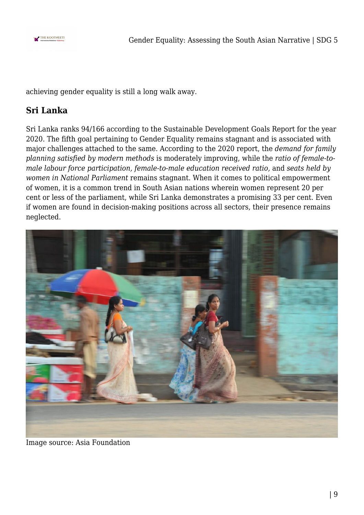

achieving gender equality is still a long walk away.

### **Sri Lanka**

Sri Lanka ranks 94/166 according to the Sustainable Development Goals Report for the year 2020. The fifth goal pertaining to Gender Equality remains stagnant and is associated with major challenges attached to the same. According to the 2020 report, the *demand for family planning satisfied by modern methods* is moderately improving, while the *ratio of female-tomale labour force participation, female-to-male education received ratio,* and *seats held by women in National Parliament* remains stagnant. When it comes to political empowerment of women, it is a common trend in South Asian nations wherein women represent 20 per cent or less of the parliament, while Sri Lanka demonstrates a promising 33 per cent. Even if women are found in decision-making positions across all sectors, their presence remains neglected.



Image source: Asia Foundation